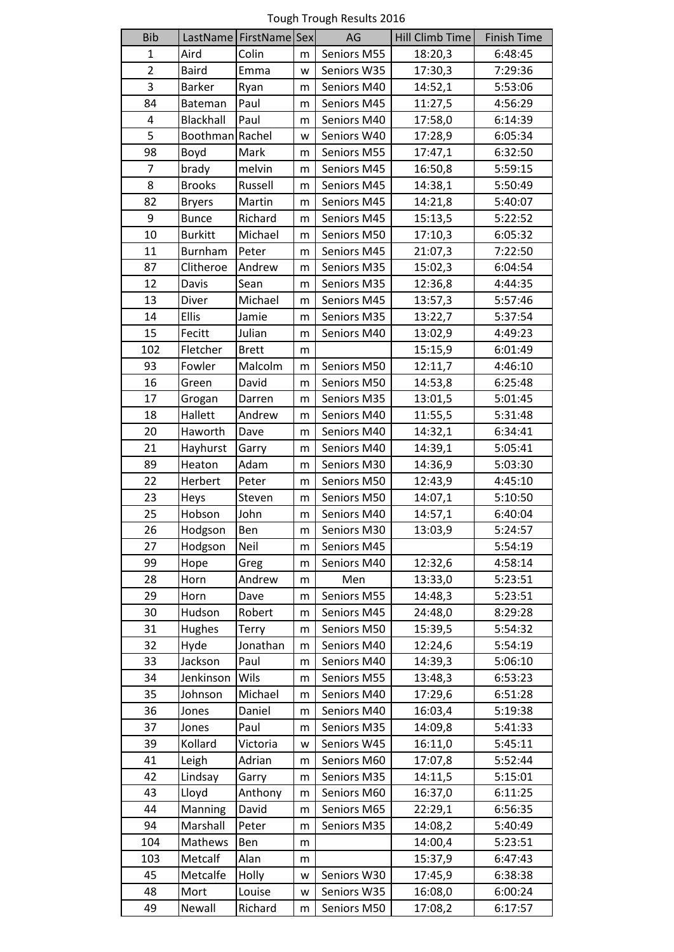Tough Trough Results 2016

| <b>Bib</b>     |                 | LastName   FirstName   Sex |   | AG          | Hill Climb Time | <b>Finish Time</b> |
|----------------|-----------------|----------------------------|---|-------------|-----------------|--------------------|
| $\mathbf{1}$   | Aird            | Colin                      | m | Seniors M55 | 18:20,3         | 6:48:45            |
| $\overline{c}$ | <b>Baird</b>    | Emma                       | W | Seniors W35 | 17:30,3         | 7:29:36            |
| 3              | <b>Barker</b>   | Ryan                       | m | Seniors M40 | 14:52,1         | 5:53:06            |
| 84             | Bateman         | Paul                       | m | Seniors M45 | 11:27,5         | 4:56:29            |
| 4              | Blackhall       | Paul                       | m | Seniors M40 | 17:58,0         | 6:14:39            |
| 5              | Boothman Rachel |                            | W | Seniors W40 | 17:28,9         | 6:05:34            |
| 98             | Boyd            | Mark                       | m | Seniors M55 | 17:47,1         | 6:32:50            |
| $\overline{7}$ | brady           | melvin                     | m | Seniors M45 | 16:50,8         | 5:59:15            |
| 8              | <b>Brooks</b>   | Russell                    | m | Seniors M45 | 14:38,1         | 5:50:49            |
| 82             | <b>Bryers</b>   | Martin                     | m | Seniors M45 | 14:21,8         | 5:40:07            |
| 9              | <b>Bunce</b>    | Richard                    | m | Seniors M45 | 15:13,5         | 5:22:52            |
| 10             | <b>Burkitt</b>  | Michael                    | m | Seniors M50 | 17:10,3         | 6:05:32            |
| 11             | Burnham         | Peter                      | m | Seniors M45 | 21:07,3         | 7:22:50            |
| 87             | Clitheroe       | Andrew                     | m | Seniors M35 | 15:02,3         | 6:04:54            |
| 12             | Davis           | Sean                       | m | Seniors M35 | 12:36,8         | 4:44:35            |
| 13             | Diver           | Michael                    | m | Seniors M45 | 13:57,3         | 5:57:46            |
| 14             | <b>Ellis</b>    | Jamie                      | m | Seniors M35 | 13:22,7         | 5:37:54            |
| 15             | Fecitt          | Julian                     | m | Seniors M40 | 13:02,9         | 4:49:23            |
| 102            | Fletcher        | <b>Brett</b>               | m |             | 15:15,9         | 6:01:49            |
| 93             | Fowler          | Malcolm                    | m | Seniors M50 | 12:11,7         | 4:46:10            |
| 16             | Green           | David                      | m | Seniors M50 | 14:53,8         | 6:25:48            |
| 17             | Grogan          | Darren                     | m | Seniors M35 | 13:01,5         | 5:01:45            |
| 18             | Hallett         | Andrew                     | m | Seniors M40 | 11:55,5         | 5:31:48            |
| 20             | Haworth         | Dave                       | m | Seniors M40 | 14:32,1         | 6:34:41            |
| 21             | Hayhurst        | Garry                      | m | Seniors M40 | 14:39,1         | 5:05:41            |
| 89             | Heaton          | Adam                       | m | Seniors M30 | 14:36,9         | 5:03:30            |
| 22             | Herbert         | Peter                      | m | Seniors M50 | 12:43,9         | 4:45:10            |
| 23             | Heys            | Steven                     | m | Seniors M50 | 14:07,1         | 5:10:50            |
| 25             | Hobson          | John                       | m | Seniors M40 | 14:57,1         | 6:40:04            |
| 26             | Hodgson         | Ben                        | m | Seniors M30 | 13:03,9         | 5:24:57            |
| 27             | Hodgson         | Neil                       | m | Seniors M45 |                 | 5:54:19            |
| 99             | Hope            | Greg                       | m | Seniors M40 | 12:32,6         | 4:58:14            |
| 28             | Horn            | Andrew                     | m | Men         | 13:33,0         | 5:23:51            |
| 29             | Horn            | Dave                       | m | Seniors M55 | 14:48,3         | 5:23:51            |
| 30             | Hudson          | Robert                     | m | Seniors M45 | 24:48,0         | 8:29:28            |
| 31             | Hughes          | Terry                      | m | Seniors M50 | 15:39,5         | 5:54:32            |
| 32             | Hyde            | Jonathan                   | m | Seniors M40 | 12:24,6         | 5:54:19            |
| 33             | Jackson         | Paul                       | m | Seniors M40 | 14:39,3         | 5:06:10            |
| 34             | Jenkinson       | Wils                       | m | Seniors M55 | 13:48,3         | 6:53:23            |
| 35             | Johnson         | Michael                    | m | Seniors M40 | 17:29,6         | 6:51:28            |
| 36             | Jones           | Daniel                     | m | Seniors M40 | 16:03,4         | 5:19:38            |
| 37             | Jones           | Paul                       | m | Seniors M35 | 14:09,8         | 5:41:33            |
| 39             | Kollard         | Victoria                   | W | Seniors W45 | 16:11,0         | 5:45:11            |
| 41             | Leigh           | Adrian                     | m | Seniors M60 | 17:07,8         | 5:52:44            |
| 42             | Lindsay         | Garry                      | m | Seniors M35 | 14:11,5         | 5:15:01            |
| 43             | Lloyd           | Anthony                    | m | Seniors M60 | 16:37,0         | 6:11:25            |
| 44             | Manning         | David                      | m | Seniors M65 | 22:29,1         | 6:56:35            |
| 94             | Marshall        | Peter                      | m | Seniors M35 | 14:08,2         | 5:40:49            |
| 104            | Mathews         | Ben                        | m |             | 14:00,4         | 5:23:51            |
| 103            | Metcalf         | Alan                       | m |             | 15:37,9         | 6:47:43            |
| 45             | Metcalfe        | Holly                      | W | Seniors W30 | 17:45,9         | 6:38:38            |
| 48             | Mort            | Louise                     | W | Seniors W35 | 16:08,0         | 6:00:24            |
| 49             | Newall          | Richard                    | m | Seniors M50 | 17:08,2         | 6:17:57            |